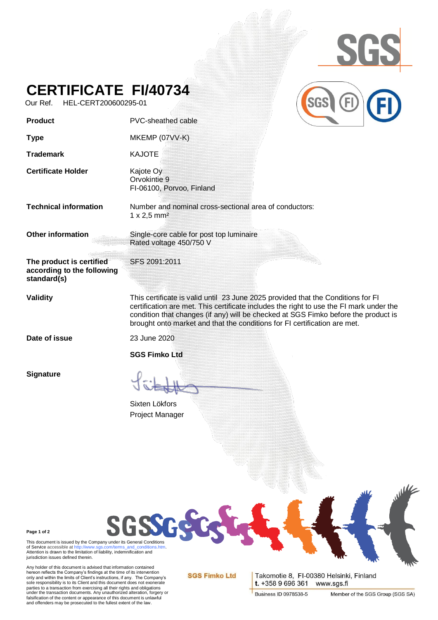

## **CERTIFICATE FI/40734**

Our Ref. HEL-CERT200600295-01

| Product                                                               | PVC-sheathed cable                                                                                                                                                                                                                                                                                                                             |
|-----------------------------------------------------------------------|------------------------------------------------------------------------------------------------------------------------------------------------------------------------------------------------------------------------------------------------------------------------------------------------------------------------------------------------|
| <b>Type</b>                                                           | MKEMP (07VV-K)                                                                                                                                                                                                                                                                                                                                 |
| <b>Trademark</b>                                                      | <b>KAJOTE</b>                                                                                                                                                                                                                                                                                                                                  |
| <b>Certificate Holder</b>                                             | Kajote Oy<br>Orvokintie 9<br>FI-06100, Porvoo, Finland                                                                                                                                                                                                                                                                                         |
| <b>Technical information</b>                                          | Number and nominal cross-sectional area of conductors:<br>$1 \times 2,5$ mm <sup>2</sup>                                                                                                                                                                                                                                                       |
| Other information                                                     | Single-core cable for post top luminaire<br>Rated voltage 450/750 V                                                                                                                                                                                                                                                                            |
| The product is certified<br>according to the following<br>standard(s) | SFS 2091:2011                                                                                                                                                                                                                                                                                                                                  |
| <b>Validity</b>                                                       | This certificate is valid until 23 June 2025 provided that the Conditions for FI<br>certification are met. This certificate includes the right to use the FI mark under the<br>condition that changes (if any) will be checked at SGS Fimko before the product is<br>brought onto market and that the conditions for FI certification are met. |
| Date of issue                                                         | 23 June 2020<br><b>SGS Fimko Ltd</b>                                                                                                                                                                                                                                                                                                           |
| <b>Signature</b>                                                      | Sixten Lökfors                                                                                                                                                                                                                                                                                                                                 |
|                                                                       | Project Manager                                                                                                                                                                                                                                                                                                                                |
|                                                                       |                                                                                                                                                                                                                                                                                                                                                |

**Page 1 of 2**

Page 1 of 2<br>This document is issued by the Company under its General Conditions<br>of Service accessible at http://www.sgs.com/terms\_and\_conditions.htm. of Service accessible a[t http://www.sgs.com/terms\\_and\\_conditions.htm.](http://www.sgs.com/terms_and_conditions.htm)<br>Attention is drawn to the limitation of liability, indemnification and jurisdiction issues defined therein.

Any holder of this document is advised that information contained<br>hereon reflects the Company's findings at the time of its intervention<br>only and within the limits of Client's instructions, if any. The Company's<br>sole respo parties to a transaction from exercising all their rights and obligations<br>under the transaction documents. Any unauthorized alteration, forgery or<br>falsification of the content or appearance of this document is unlawful<br>and

**SGS Fimko Ltd** 

Takomotie 8, FI-00380 Helsinki, Finland t. +358 9 696 361 www.sgs.fi

**Business ID 0978538-5**